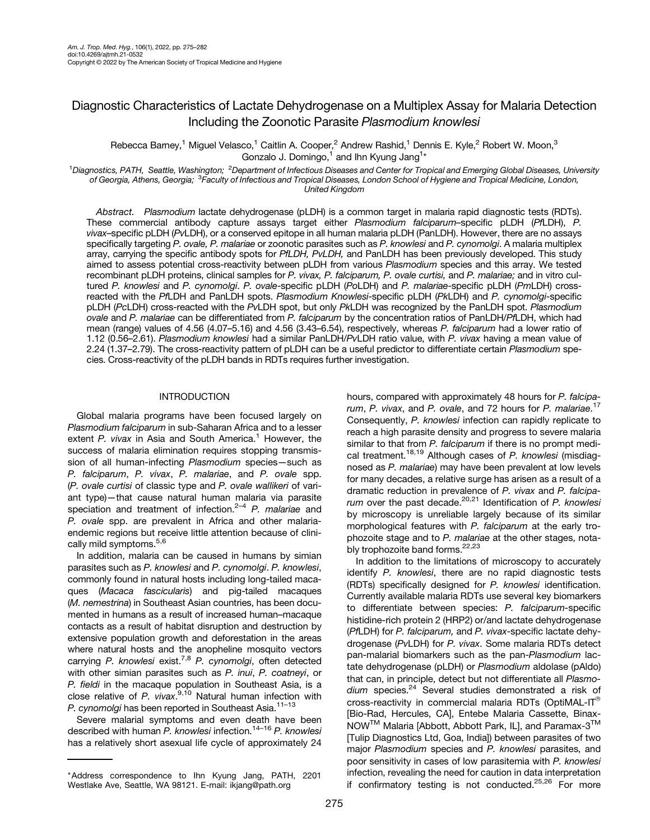# Diagnostic Characteristics of Lactate Dehydrogenase on a Multiplex Assay for Malaria Detection Including the Zoonotic Parasite Plasmodium knowlesi

Rebecca Barney,<sup>1</sup> Miguel Velasco,<sup>1</sup> Caitlin A. Cooper,<sup>2</sup> Andrew Rashid,<sup>1</sup> Dennis E. Kyle,<sup>2</sup> Robert W. Moon,<sup>3</sup> Gonzalo J. Domingo, $1$  and Ihn Kyung Jang $1*$ 

<sup>1</sup>Diagnostics, PATH, Seattle, Washington; <sup>2</sup>Department of Infectious Diseases and Center for Tropical and Emerging Global Diseases, University of Georgia, Athens, Georgia; <sup>3</sup>Faculty of Infectious and Tropical Diseases, London School of Hygiene and Tropical Medicine, London, United Kingdom

Abstract. Plasmodium lactate dehydrogenase (pLDH) is a common target in malaria rapid diagnostic tests (RDTs). These commercial antibody capture assays target either Plasmodium falciparum–specific pLDH (PfLDH), P. vivax–specific pLDH (PvLDH), or a conserved epitope in all human malaria pLDH (PanLDH). However, there are no assays specifically targeting P. ovale, P. malariae or zoonotic parasites such as P. knowlesi and P. cynomolgi. A malaria multiplex array, carrying the specific antibody spots for PfLDH, PvLDH, and PanLDH has been previously developed. This study aimed to assess potential cross-reactivity between pLDH from various Plasmodium species and this array. We tested recombinant pLDH proteins, clinical samples for P. vivax, P. falciparum, P. ovale curtisi, and P. malariae; and in vitro cultured P. knowlesi and P. cynomolgi. P. ovale-specific pLDH (PoLDH) and P. malariae-specific pLDH (PmLDH) crossreacted with the PfLDH and PanLDH spots. Plasmodium Knowlesi-specific pLDH (PkLDH) and P. cynomolgi-specific pLDH (PcLDH) cross-reacted with the PvLDH spot, but only PkLDH was recognized by the PanLDH spot. Plasmodium ovale and P. malariae can be differentiated from P. falciparum by the concentration ratios of PanLDH/PfLDH, which had mean (range) values of 4.56 (4.07-5.16) and 4.56 (3.43-6.54), respectively, whereas P. falciparum had a lower ratio of 1.12 (0.56–2.61). Plasmodium knowlesi had a similar PanLDH/PvLDH ratio value, with P. vivax having a mean value of 2.24 (1.37-2.79). The cross-reactivity pattern of pLDH can be a useful predictor to differentiate certain Plasmodium species. Cross-reactivity of the pLDH bands in RDTs requires further investigation.

# INTRODUCTION

Global malaria programs have been focused largely on Plasmodium falciparum in sub-Saharan Africa and to a lesser extent  $P$ . vivax in Asia and South America.<sup>1</sup> However, the success of malaria elimination requires stopping transmission of all human-infecting Plasmodium species-such as P. falciparum, P. vivax, P. malariae, and P. ovale spp. (P. ovale curtisi of classic type and P. ovale wallikeri of variant type)—that cause natural human malaria via parasite speciation and treatment of infection.<sup>2[–](#page-5-0)[4](#page-5-0)</sup> P. malariae and P. ovale spp. are prevalent in Africa and other malariaendemic regions but receive little attention because of clini-cally mild symptoms.<sup>5,[6](#page-6-0)</sup>

In addition, malaria can be caused in humans by simian parasites such as P. knowlesi and P. cynomolgi. P. knowlesi, commonly found in natural hosts including long-tailed macaques (Macaca fascicularis) and pig-tailed macaques (M. nemestrina) in Southeast Asian countries, has been documented in humans as a result of increased human–macaque contacts as a result of habitat disruption and destruction by extensive population growth and deforestation in the areas where natural hosts and the anopheline mosquito vectors carrying P. knowlesi exist.<sup>[7,8](#page-6-0)</sup> P. cynomolgi, often detected with other simian parasites such as P. inui, P. coatneyi, or P. fieldi in the macaque population in Southeast Asia, is a close relative of P. vivax.<sup>[9,10](#page-6-0)</sup> Natural human infection with P. cynomolgi has been reported in Southeast Asia.<sup>11-[13](#page-6-0)</sup>

Severe malarial symptoms and even death have been described with human P. knowlesi infection.<sup>14-[16](#page-6-0)</sup> P. knowlesi has a relatively short asexual life cycle of approximately 24 hours, compared with approximately 48 hours for P. falcipa-rum, P. vivax, and P. ovale, and 72 hours for P. malariae.<sup>[17](#page-6-0)</sup> Consequently, P. knowlesi infection can rapidly replicate to reach a high parasite density and progress to severe malaria similar to that from P. falciparum if there is no prompt medi-cal treatment.<sup>[18](#page-6-0),[19](#page-6-0)</sup> Although cases of P. knowlesi (misdiagnosed as P. malariae) may have been prevalent at low levels for many decades, a relative surge has arisen as a result of a dramatic reduction in prevalence of P. vivax and P. falciparum over the past decade. $20,21$  Identification of P. knowlesi by microscopy is unreliable largely because of its similar morphological features with P. falciparum at the early trophozoite stage and to P. malariae at the other stages, nota-bly trophozoite band forms.<sup>[22,23](#page-6-0)</sup>

In addition to the limitations of microscopy to accurately identify P. knowlesi, there are no rapid diagnostic tests (RDTs) specifically designed for P. knowlesi identification. Currently available malaria RDTs use several key biomarkers to differentiate between species: P. falciparum-specific histidine-rich protein 2 (HRP2) or/and lactate dehydrogenase (PfLDH) for P. falciparum, and P. vivax-specific lactate dehydrogenase (PvLDH) for P. vivax. Some malaria RDTs detect pan-malarial biomarkers such as the pan-Plasmodium lactate dehydrogenase (pLDH) or Plasmodium aldolase (pAldo) that can, in principle, detect but not differentiate all Plasmodium species.<sup>24</sup> Several studies demonstrated a risk of cross-reactivity in commercial malaria RDTs (OptiMAL-IT $^{\circ}$ [Bio-Rad, Hercules, CA], Entebe Malaria Cassette, Binax-NOW™ Malaria [Abbott, Abbott Park, IL], and Paramax-3™ [Tulip Diagnostics Ltd, Goa, India]) between parasites of two major Plasmodium species and P. knowlesi parasites, and poor sensitivity in cases of low parasitemia with P. knowlesi infection, revealing the need for caution in data interpretation if confirmatory testing is not conducted.<sup>25,26</sup> For more

<sup>\*</sup>Address correspondence to Ihn Kyung Jang, PATH, 2201 Westlake Ave, Seattle, WA 98121. E-mail: [ikjang@path.org](mailto:ikjang@path.org)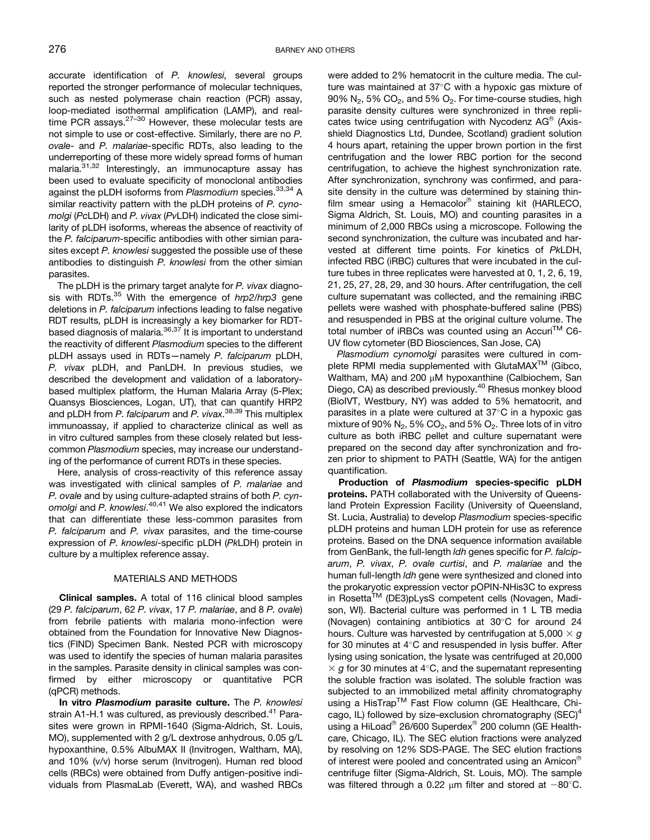accurate identification of P. knowlesi, several groups reported the stronger performance of molecular techniques, such as nested polymerase chain reaction (PCR) assay, loop-mediated isothermal amplification (LAMP), and real-time PCR assays.<sup>27-[30](#page-6-0)</sup> However, these molecular tests are not simple to use or cost-effective. Similarly, there are no P. ovale- and P. malariae-specific RDTs, also leading to the underreporting of these more widely spread forms of human malaria.[31,32](#page-6-0) Interestingly, an immunocapture assay has been used to evaluate specificity of monoclonal antibodies against the pLDH isoforms from Plasmodium species.<sup>[33,34](#page-6-0)</sup> A similar reactivity pattern with the pLDH proteins of P. cynomolgi (PcLDH) and P. vivax (PvLDH) indicated the close similarity of pLDH isoforms, whereas the absence of reactivity of the P. falciparum-specific antibodies with other simian parasites except P. knowlesi suggested the possible use of these antibodies to distinguish P. knowlesi from the other simian parasites.

The pLDH is the primary target analyte for P. vivax diagnosis with RDTs.<sup>35</sup> With the emergence of hrp2/hrp3 gene deletions in P. falciparum infections leading to false negative RDT results, pLDH is increasingly a key biomarker for RDTbased diagnosis of malaria.<sup>36,37</sup> It is important to understand the reactivity of different Plasmodium species to the different pLDH assays used in RDTs—namely P. falciparum pLDH, P. vivax pLDH, and PanLDH. In previous studies, we described the development and validation of a laboratorybased multiplex platform, the Human Malaria Array (5-Plex; Quansys Biosciences, Logan, UT), that can quantify HRP2 and pLDH from P. falciparum and P. vivax.<sup>[38,39](#page-6-0)</sup> This multiplex immunoassay, if applied to characterize clinical as well as in vitro cultured samples from these closely related but lesscommon Plasmodium species, may increase our understanding of the performance of current RDTs in these species.

Here, analysis of cross-reactivity of this reference assay was investigated with clinical samples of P. malariae and P. ovale and by using culture-adapted strains of both P. cyn*omolgi a*nd *P. knowlesi*.<sup>[40,41](#page-6-0)</sup> We also explored the indicators that can differentiate these less-common parasites from P. falciparum and P. vivax parasites, and the time-course expression of P. knowlesi-specific pLDH (PkLDH) protein in culture by a multiplex reference assay.

#### MATERIALS AND METHODS

Clinical samples. A total of 116 clinical blood samples (29 P. falciparum, 62 P. vivax, 17 P. malariae, and 8 P. ovale) from febrile patients with malaria mono-infection were obtained from the Foundation for Innovative New Diagnostics (FIND) Specimen Bank. Nested PCR with microscopy was used to identify the species of human malaria parasites in the samples. Parasite density in clinical samples was confirmed by either microscopy or quantitative PCR (qPCR) methods.

In vitro Plasmodium parasite culture. The P. knowlesi strain A1-H.1 was cultured, as previously described.<sup>41</sup> Parasites were grown in RPMI-1640 (Sigma-Aldrich, St. Louis, MO), supplemented with 2 g/L dextrose anhydrous, 0.05 g/L hypoxanthine, 0.5% AlbuMAX II (Invitrogen, Waltham, MA), and 10% (v/v) horse serum (Invitrogen). Human red blood cells (RBCs) were obtained from Duffy antigen-positive individuals from PlasmaLab (Everett, WA), and washed RBCs were added to 2% hematocrit in the culture media. The culture was maintained at  $37^{\circ}$ C with a hypoxic gas mixture of  $90\%$  N<sub>2</sub>, 5% CO<sub>2</sub>, and 5% O<sub>2</sub>. For time-course studies, high parasite density cultures were synchronized in three replicates twice using centrifugation with Nycodenz AG® (Axisshield Diagnostics Ltd, Dundee, Scotland) gradient solution 4 hours apart, retaining the upper brown portion in the first centrifugation and the lower RBC portion for the second centrifugation, to achieve the highest synchronization rate. After synchronization, synchrony was confirmed, and parasite density in the culture was determined by staining thinfilm smear using a Hemacolor® staining kit (HARLECO, Sigma Aldrich, St. Louis, MO) and counting parasites in a minimum of 2,000 RBCs using a microscope. Following the second synchronization, the culture was incubated and harvested at different time points. For kinetics of PkLDH, infected RBC (iRBC) cultures that were incubated in the culture tubes in three replicates were harvested at 0, 1, 2, 6, 19, 21, 25, 27, 28, 29, and 30 hours. After centrifugation, the cell culture supernatant was collected, and the remaining iRBC pellets were washed with phosphate-buffered saline (PBS) and resuspended in PBS at the original culture volume. The total number of iRBCs was counted using an Accuri™ C6-UV flow cytometer (BD Biosciences, San Jose, CA)

Plasmodium cynomolgi parasites were cultured in complete RPMI media supplemented with GlutaMAX<sup>™</sup> (Gibco, Waltham, MA) and 200  $\mu$ M hypoxanthine (Calbiochem, San Diego, CA) as described previously.<sup>[40](#page-6-0)</sup> Rhesus monkey blood (BioIVT, Westbury, NY) was added to 5% hematocrit, and parasites in a plate were cultured at  $37^{\circ}$ C in a hypoxic gas mixture of 90%  $N_2$ , 5%  $CO_2$ , and 5%  $O_2$ . Three lots of in vitro culture as both iRBC pellet and culture supernatant were prepared on the second day after synchronization and frozen prior to shipment to PATH (Seattle, WA) for the antigen quantification.

Production of Plasmodium species-specific pLDH proteins. PATH collaborated with the University of Queensland Protein Expression Facility (University of Queensland, St. Lucia, Australia) to develop Plasmodium species-specific pLDH proteins and human LDH protein for use as reference proteins. Based on the DNA sequence information available from GenBank, the full-length ldh genes specific for P. falciparum, P. vivax, P. ovale curtisi, and P. malariae and the human full-length ldh gene were synthesized and cloned into the prokaryotic expression vector pOPIN-NHis3C to express in Rosetta™ (DE3)pLysS competent cells (Novagen, Madison, WI). Bacterial culture was performed in 1 L TB media (Novagen) containing antibiotics at  $30^{\circ}$ C for around 24 hours. Culture was harvested by centrifugation at 5,000  $\times$  g for 30 minutes at  $4^\circ$ C and resuspended in lysis buffer. After lysing using sonication, the lysate was centrifuged at 20,000  $\times$  g for 30 minutes at 4°C, and the supernatant representing the soluble fraction was isolated. The soluble fraction was subjected to an immobilized metal affinity chromatography using a HisTrap™ Fast Flow column (GE Healthcare, Chicago, IL) followed by size-exclusion chromatography  $(SEC)^4$ using a HiLoad® 26/600 Superdex® 200 column (GE Healthcare, Chicago, IL). The SEC elution fractions were analyzed by resolving on 12% SDS-PAGE. The SEC elution fractions of interest were pooled and concentrated using an Amicon<sup>®</sup> centrifuge filter (Sigma-Aldrich, St. Louis, MO). The sample was filtered through a 0.22  $\mu$ m filter and stored at  $-80^{\circ}$ C.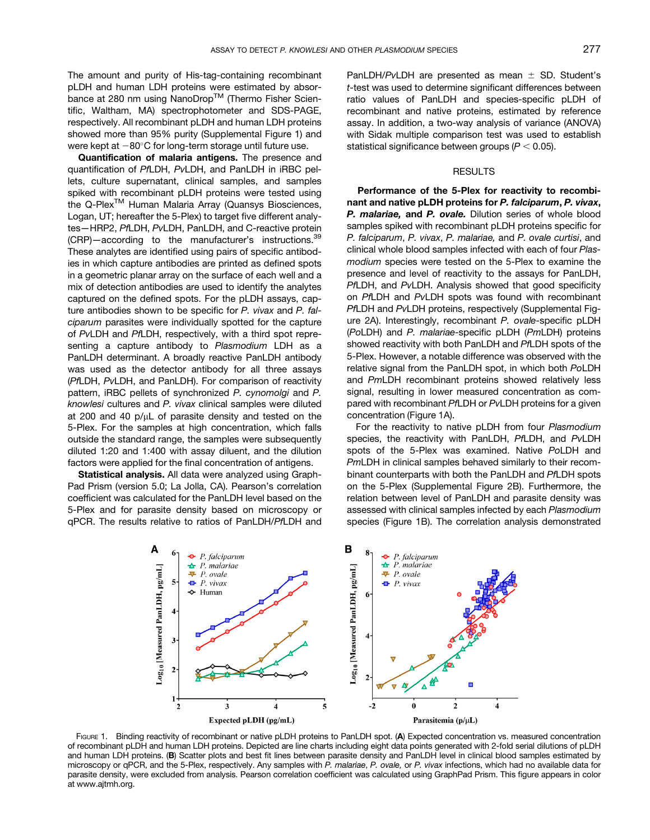<span id="page-2-0"></span>The amount and purity of His-tag-containing recombinant pLDH and human LDH proteins were estimated by absorbance at 280 nm using NanoDrop™ (Thermo Fisher Scientific, Waltham, MA) spectrophotometer and SDS-PAGE, respectively. All recombinant pLDH and human LDH proteins showed more than 95% purity (Supplemental Figure 1) and were kept at  $-80^{\circ}$ C for long-term storage until future use.

Quantification of malaria antigens. The presence and quantification of PfLDH, PvLDH, and PanLDH in iRBC pellets, culture supernatant, clinical samples, and samples spiked with recombinant pLDH proteins were tested using the Q-Plex<sup>™</sup> Human Malaria Array (Quansys Biosciences, Logan, UT; hereafter the 5-Plex) to target five different analytes—HRP2, PfLDH, PvLDH, PanLDH, and C-reactive protein (CRP)-according to the manufacturer's instructions.<sup>39</sup> These analytes are identified using pairs of specific antibodies in which capture antibodies are printed as defined spots in a geometric planar array on the surface of each well and a mix of detection antibodies are used to identify the analytes captured on the defined spots. For the pLDH assays, capture antibodies shown to be specific for P. vivax and P. falciparum parasites were individually spotted for the capture of PvLDH and PfLDH, respectively, with a third spot representing a capture antibody to Plasmodium LDH as a PanLDH determinant. A broadly reactive PanLDH antibody was used as the detector antibody for all three assays (PfLDH, PvLDH, and PanLDH). For comparison of reactivity pattern, iRBC pellets of synchronized P. cynomolgi and P. knowlesi cultures and P. vivax clinical samples were diluted at 200 and 40  $p/uL$  of parasite density and tested on the 5-Plex. For the samples at high concentration, which falls outside the standard range, the samples were subsequently diluted 1:20 and 1:400 with assay diluent, and the dilution factors were applied for the final concentration of antigens.

Statistical analysis. All data were analyzed using Graph-Pad Prism (version 5.0; La Jolla, CA). Pearson's correlation coefficient was calculated for the PanLDH level based on the 5-Plex and for parasite density based on microscopy or qPCR. The results relative to ratios of PanLDH/PfLDH and PanLDH/PvLDH are presented as mean  $\pm$  SD. Student's t-test was used to determine significant differences between ratio values of PanLDH and species-specific pLDH of recombinant and native proteins, estimated by reference assay. In addition, a two-way analysis of variance (ANOVA) with Sidak multiple comparison test was used to establish statistical significance between groups ( $P < 0.05$ ).

# RESULTS

Performance of the 5-Plex for reactivity to recombinant and native pLDH proteins for P. falciparum, P. vivax, P. malariae, and P. ovale. Dilution series of whole blood samples spiked with recombinant pLDH proteins specific for P. falciparum, P. vivax, P. malariae, and P. ovale curtisi, and clinical whole blood samples infected with each of four Plasmodium species were tested on the 5-Plex to examine the presence and level of reactivity to the assays for PanLDH, PfLDH, and PvLDH. Analysis showed that good specificity on PfLDH and PvLDH spots was found with recombinant PfLDH and PvLDH proteins, respectively (Supplemental Figure 2A). Interestingly, recombinant P. ovale-specific pLDH (PoLDH) and P. malariae-specific pLDH (PmLDH) proteins showed reactivity with both PanLDH and PfLDH spots of the 5-Plex. However, a notable difference was observed with the relative signal from the PanLDH spot, in which both PoLDH and PmLDH recombinant proteins showed relatively less signal, resulting in lower measured concentration as compared with recombinant PfLDH or PvLDH proteins for a given concentration (Figure 1A).

For the reactivity to native pLDH from four Plasmodium species, the reactivity with PanLDH, PfLDH, and PvLDH spots of the 5-Plex was examined. Native PoLDH and PmLDH in clinical samples behaved similarly to their recombinant counterparts with both the PanLDH and PfLDH spots on the 5-Plex (Supplemental Figure 2B). Furthermore, the relation between level of PanLDH and parasite density was assessed with clinical samples infected by each Plasmodium species (Figure 1B). The correlation analysis demonstrated



FIGURE 1. Binding reactivity of recombinant or native pLDH proteins to PanLDH spot. (A) Expected concentration vs. measured concentration of recombinant pLDH and human LDH proteins. Depicted are line charts including eight data points generated with 2-fold serial dilutions of pLDH and human LDH proteins. (B) Scatter plots and best fit lines between parasite density and PanLDH level in clinical blood samples estimated by microscopy or qPCR, and the 5-Plex, respectively. Any samples with P. malariae, P. ovale, or P. vivax infections, which had no available data for parasite density, were excluded from analysis. Pearson correlation coefficient was calculated using GraphPad Prism. This figure appears in color at [www.ajtmh.org.](http://www.ajtmh.org)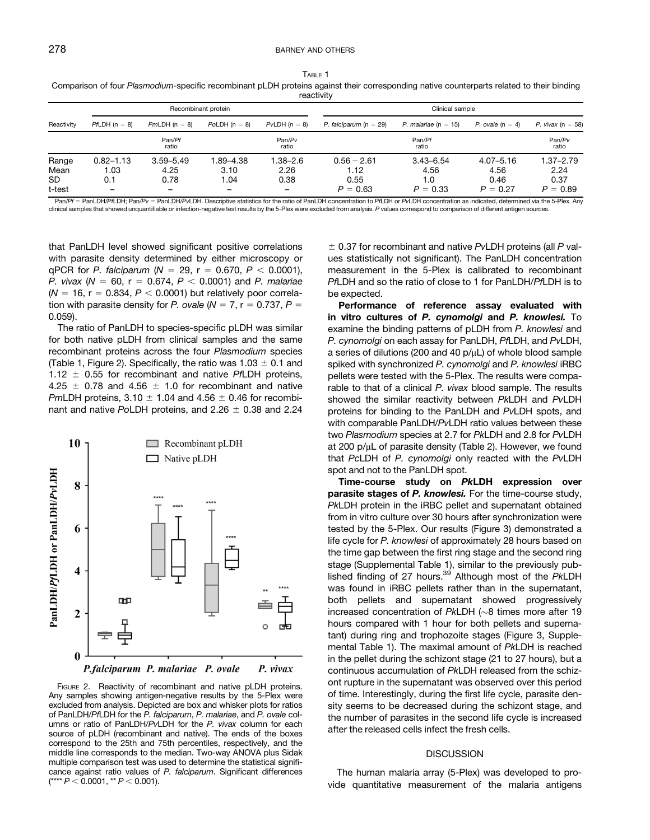<span id="page-3-0"></span>TABLE 1 Comparison of four Plasmodium-specific recombinant pLDH proteins against their corresponding native counterparts related to their binding reactivity

|                                      | Recombinant protein                             |                               |                                                      |                                                      | Clinical sample                             |                                            |                                             |                                             |  |
|--------------------------------------|-------------------------------------------------|-------------------------------|------------------------------------------------------|------------------------------------------------------|---------------------------------------------|--------------------------------------------|---------------------------------------------|---------------------------------------------|--|
| Reactivity                           | $PfLDH (n = 8)$                                 | $PmLDH (n = 8)$               | $PoLDH (n = 8)$                                      | $PvLDH (n = 8)$                                      | P. falciparum ( $n = 29$ )                  | P. malariae (n = 15)                       | P. ovale $(n = 4)$                          | P. vivax ( $n = 58$ )                       |  |
|                                      |                                                 | Pan/Pf<br>ratio               |                                                      | Pan/Pv<br>ratio                                      |                                             | Pan/Pf<br>ratio                            |                                             | Pan/Pv<br>ratio                             |  |
| Range<br>Mean<br><b>SD</b><br>t-test | $0.82 - 1.13$<br>1.03<br>0.1<br>$\qquad \qquad$ | $3.59 - 5.49$<br>4.25<br>0.78 | 1.89-4.38<br>3.10<br>.04<br>$\overline{\phantom{0}}$ | 1.38–2.6<br>2.26<br>0.38<br>$\overline{\phantom{0}}$ | $0.56 - 2.61$<br>1.12<br>0.55<br>$P = 0.63$ | $3.43 - 6.54$<br>4.56<br>1.0<br>$P = 0.33$ | $4.07 - 5.16$<br>4.56<br>0.46<br>$P = 0.27$ | $1.37 - 2.79$<br>2.24<br>0.37<br>$P = 0.89$ |  |

Pan/Pf = PanLDH/PfLDH; Pan/Pv = PanLDH/PvLDH. Descriptive statistics for the ratio of PanLDH concentration to PfLDH concentration as indicated, determined via the 5-Plex. Any clinical samples that showed unquantifiable or infection-negative test results by the 5-Plex were excluded from analysis. P values correspond to comparison of different antigen sources.

that PanLDH level showed significant positive correlations with parasite density determined by either microscopy or qPCR for P. falciparum ( $N = 29$ , r = 0.670, P < 0.0001), P. vivax ( $N = 60$ , r = 0.674, P < 0.0001) and P. malariae  $(N = 16, r = 0.834, P < 0.0001)$  but relatively poor correlation with parasite density for P. ovale  $(N = 7, r = 0.737, P = 1)$ 0.059).

The ratio of PanLDH to species-specific pLDH was similar for both native pLDH from clinical samples and the same recombinant proteins across the four Plasmodium species (Table 1, Figure 2). Specifically, the ratio was  $1.03 \pm 0.1$  and 1.12  $\pm$  0.55 for recombinant and native PfLDH proteins, 4.25  $\pm$  0.78 and 4.56  $\pm$  1.0 for recombinant and native PmLDH proteins,  $3.10 \pm 1.04$  and  $4.56 \pm 0.46$  for recombinant and native PoLDH proteins, and  $2.26 \pm 0.38$  and 2.24



FIGURE 2. Reactivity of recombinant and native pLDH proteins. Any samples showing antigen-negative results by the 5-Plex were excluded from analysis. Depicted are box and whisker plots for ratios of PanLDH/PfLDH for the P. falciparum, P. malariae, and P. ovale columns or ratio of PanLDH/PvLDH for the P. vivax column for each source of pLDH (recombinant and native). The ends of the boxes correspond to the 25th and 75th percentiles, respectively, and the middle line corresponds to the median. Two-way ANOVA plus Sidak multiple comparison test was used to determine the statistical significance against ratio values of P. falciparum. Significant differences  $(**** P < 0.0001, ** P < 0.001).$ 

 $\pm$  0.37 for recombinant and native PvLDH proteins (all P values statistically not significant). The PanLDH concentration measurement in the 5-Plex is calibrated to recombinant PfLDH and so the ratio of close to 1 for PanLDH/PfLDH is to be expected.

Performance of reference assay evaluated with in vitro cultures of P. cynomolgi and P. knowlesi. To examine the binding patterns of pLDH from P. knowlesi and P. cynomolgi on each assay for PanLDH, PfLDH, and PvLDH, a series of dilutions (200 and 40  $p/\mu$ L) of whole blood sample spiked with synchronized P. cynomolgi and P. knowlesi iRBC pellets were tested with the 5-Plex. The results were comparable to that of a clinical P. vivax blood sample. The results showed the similar reactivity between PkLDH and PvLDH proteins for binding to the PanLDH and PvLDH spots, and with comparable PanLDH/PvLDH ratio values between these two Plasmodium species at 2.7 for PkLDH and 2.8 for PvLDH at 200  $p/\mu L$  of parasite density ([Table 2](#page-4-0)). However, we found that PcLDH of P. cynomolgi only reacted with the PvLDH spot and not to the PanLDH spot.

Time-course study on PkLDH expression over parasite stages of P. knowlesi. For the time-course study, PkLDH protein in the iRBC pellet and supernatant obtained from in vitro culture over 30 hours after synchronization were tested by the 5-Plex. Our results [\(Figure 3](#page-4-0)) demonstrated a life cycle for P. knowlesi of approximately 28 hours based on the time gap between the first ring stage and the second ring stage (Supplemental Table 1), similar to the previously published finding of 27 hours.<sup>39</sup> Although most of the PkLDH was found in iRBC pellets rather than in the supernatant, both pellets and supernatant showed progressively increased concentration of  $P$ kLDH ( $\sim$ 8 times more after 19 hours compared with 1 hour for both pellets and supernatant) during ring and trophozoite stages [\(Figure 3,](#page-4-0) Supplemental Table 1). The maximal amount of PkLDH is reached in the pellet during the schizont stage (21 to 27 hours), but a continuous accumulation of PkLDH released from the schizont rupture in the supernatant was observed over this period of time. Interestingly, during the first life cycle, parasite density seems to be decreased during the schizont stage, and the number of parasites in the second life cycle is increased after the released cells infect the fresh cells.

### **DISCUSSION**

The human malaria array (5-Plex) was developed to provide quantitative measurement of the malaria antigens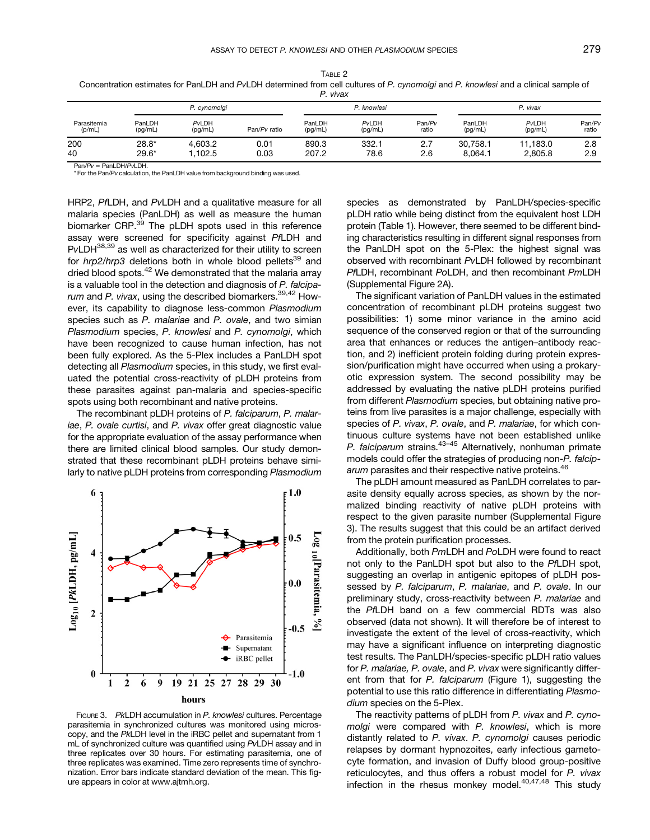<span id="page-4-0"></span>

| TABLE 2                                                                                                                             |
|-------------------------------------------------------------------------------------------------------------------------------------|
| Concentration estimates for PanLDH and PvLDH determined from cell cultures of P. cynomolgi and P. knowlesi and a clinical sample of |
| P. vivax                                                                                                                            |

| .                     |                    |                   |              |                   |                  |                 |                     |                     |                 |  |
|-----------------------|--------------------|-------------------|--------------|-------------------|------------------|-----------------|---------------------|---------------------|-----------------|--|
| Parasitemia<br>(p/mL) | P. cynomolgi       |                   |              | P. knowlesi       |                  |                 | P. vivax            |                     |                 |  |
|                       | PanLDH<br>(pq/mL)  | PvLDH<br>(pg/mL)  | Pan/Pv ratio | PanLDH<br>(pg/mL) | PvLDH<br>(pg/mL) | Pan/Pv<br>ratio | PanLDH<br>(pq/mL)   | PvLDH<br>(pg/mL)    | Pan/Pv<br>ratio |  |
| 200<br>40             | $28.8*$<br>$29.6*$ | 4.603.2<br>.102.5 | 0.01<br>0.03 | 890.3<br>207.2    | 332.1<br>78.6    | 2.7<br>2.6      | 30.758.1<br>8.064.1 | 11.183.0<br>2,805.8 | 2.8<br>2.9      |  |

 $Pan/Pv = PanLDH/PvLDH$ .

\* For the Pan/Pv calculation, the PanLDH value from background binding was used.

HRP2, PfLDH, and PvLDH and a qualitative measure for all malaria species (PanLDH) as well as measure the human biomarker CRP.<sup>[39](#page-6-0)</sup> The pLDH spots used in this reference assay were screened for specificity against PfLDH and PvLDH<sup>38,39</sup> as well as characterized for their utility to screen for  $hrp2/hrp3$  deletions both in whole blood pellets<sup>39</sup> and dried blood spots.<sup>42</sup> We demonstrated that the malaria array is a valuable tool in the detection and diagnosis of P. falciparum and P. vivax, using the described biomarkers.  $39,42$  However, its capability to diagnose less-common Plasmodium species such as P. malariae and P. ovale, and two simian Plasmodium species, P. knowlesi and P. cynomolgi, which have been recognized to cause human infection, has not been fully explored. As the 5-Plex includes a PanLDH spot detecting all Plasmodium species, in this study, we first evaluated the potential cross-reactivity of pLDH proteins from these parasites against pan-malaria and species-specific spots using both recombinant and native proteins.

The recombinant pLDH proteins of P. falciparum, P. malariae, P. ovale curtisi, and P. vivax offer great diagnostic value for the appropriate evaluation of the assay performance when there are limited clinical blood samples. Our study demonstrated that these recombinant pLDH proteins behave similarly to native pLDH proteins from corresponding Plasmodium



FIGURE 3. PkLDH accumulation in P. knowlesi cultures. Percentage parasitemia in synchronized cultures was monitored using microscopy, and the PkLDH level in the iRBC pellet and supernatant from 1 mL of synchronized culture was quantified using PvLDH assay and in three replicates over 30 hours. For estimating parasitemia, one of three replicates was examined. Time zero represents time of synchronization. Error bars indicate standard deviation of the mean. This figure appears in color at [www.ajtmh.org](http://www.ajtmh.org).

species as demonstrated by PanLDH/species-specific pLDH ratio while being distinct from the equivalent host LDH protein ([Table 1](#page-3-0)). However, there seemed to be different binding characteristics resulting in different signal responses from the PanLDH spot on the 5-Plex: the highest signal was observed with recombinant PvLDH followed by recombinant PfLDH, recombinant PoLDH, and then recombinant PmLDH (Supplemental Figure 2A).

The significant variation of PanLDH values in the estimated concentration of recombinant pLDH proteins suggest two possibilities: 1) some minor variance in the amino acid sequence of the conserved region or that of the surrounding area that enhances or reduces the antigen–antibody reaction, and 2) inefficient protein folding during protein expression/purification might have occurred when using a prokaryotic expression system. The second possibility may be addressed by evaluating the native pLDH proteins purified from different Plasmodium species, but obtaining native proteins from live parasites is a major challenge, especially with species of P. vivax, P. ovale, and P. malariae, for which continuous culture systems have not been established unlike P. falciparum strains. $43-45$  $43-45$  Alternatively, nonhuman primate models could offer the strategies of producing non-P. falciparum parasites and their respective native proteins.<sup>46</sup>

The pLDH amount measured as PanLDH correlates to parasite density equally across species, as shown by the normalized binding reactivity of native pLDH proteins with respect to the given parasite number (Supplemental Figure 3). The results suggest that this could be an artifact derived from the protein purification processes.

Additionally, both PmLDH and PoLDH were found to react not only to the PanLDH spot but also to the PfLDH spot, suggesting an overlap in antigenic epitopes of pLDH possessed by P. falciparum, P. malariae, and P. ovale. In our preliminary study, cross-reactivity between P. malariae and the PfLDH band on a few commercial RDTs was also observed (data not shown). It will therefore be of interest to investigate the extent of the level of cross-reactivity, which may have a significant influence on interpreting diagnostic test results. The PanLDH/species-specific pLDH ratio values for P. malariae, P. ovale, and P. vivax were significantly differ-ent from that for P. falciparum [\(Figure 1](#page-2-0)), suggesting the potential to use this ratio difference in differentiating Plasmodium species on the 5-Plex.

The reactivity patterns of pLDH from P. vivax and P. cynomolgi were compared with P. knowlesi, which is more distantly related to P. vivax. P. cynomolgi causes periodic relapses by dormant hypnozoites, early infectious gametocyte formation, and invasion of Duffy blood group-positive reticulocytes, and thus offers a robust model for P. vivax infection in the rhesus monkey model. $40,47,48$  $40,47,48$  $40,47,48$  $40,47,48$  This study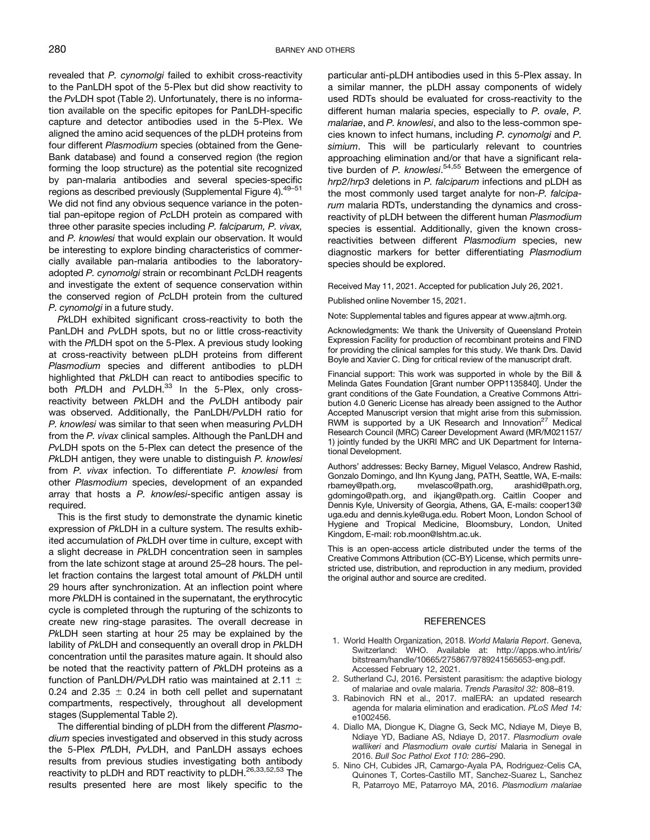<span id="page-5-0"></span>revealed that P. cynomolgi failed to exhibit cross-reactivity to the PanLDH spot of the 5-Plex but did show reactivity to the PvLDH spot [\(Table 2](#page-4-0)). Unfortunately, there is no information available on the specific epitopes for PanLDH-specific capture and detector antibodies used in the 5-Plex. We aligned the amino acid sequences of the pLDH proteins from four different Plasmodium species (obtained from the Gene-Bank database) and found a conserved region (the region forming the loop structure) as the potential site recognized by pan-malaria antibodies and several species-specific regions as described previously (Supplemental Figure 4).<sup>[49](#page-7-0)-[51](#page-7-0)</sup> We did not find any obvious sequence variance in the potential pan-epitope region of PcLDH protein as compared with three other parasite species including P. falciparum, P. vivax, and P. knowlesi that would explain our observation. It would be interesting to explore binding characteristics of commercially available pan-malaria antibodies to the laboratoryadopted P. cynomolgi strain or recombinant PcLDH reagents and investigate the extent of sequence conservation within the conserved region of PcLDH protein from the cultured P. cynomolgi in a future study.

PkLDH exhibited significant cross-reactivity to both the PanLDH and PvLDH spots, but no or little cross-reactivity with the PfLDH spot on the 5-Plex. A previous study looking at cross-reactivity between pLDH proteins from different Plasmodium species and different antibodies to pLDH highlighted that PkLDH can react to antibodies specific to both PfLDH and PvLDH.<sup>33</sup> In the 5-Plex, only crossreactivity between PkLDH and the PvLDH antibody pair was observed. Additionally, the PanLDH/PvLDH ratio for P. knowlesi was similar to that seen when measuring PvLDH from the P. vivax clinical samples. Although the PanLDH and PvLDH spots on the 5-Plex can detect the presence of the PkLDH antigen, they were unable to distinguish P. knowlesi from P. vivax infection. To differentiate P. knowlesi from other Plasmodium species, development of an expanded array that hosts a P. knowlesi-specific antigen assay is required.

This is the first study to demonstrate the dynamic kinetic expression of PkLDH in a culture system. The results exhibited accumulation of PkLDH over time in culture, except with a slight decrease in PkLDH concentration seen in samples from the late schizont stage at around 25–28 hours. The pellet fraction contains the largest total amount of PkLDH until 29 hours after synchronization. At an inflection point where more PkLDH is contained in the supernatant, the erythrocytic cycle is completed through the rupturing of the schizonts to create new ring-stage parasites. The overall decrease in PkLDH seen starting at hour 25 may be explained by the lability of PkLDH and consequently an overall drop in PkLDH concentration until the parasites mature again. It should also be noted that the reactivity pattern of PkLDH proteins as a function of PanLDH/PvLDH ratio was maintained at 2.11  $\pm$ 0.24 and 2.35  $\pm$  0.24 in both cell pellet and supernatant compartments, respectively, throughout all development stages (Supplemental Table 2).

The differential binding of pLDH from the different Plasmodium species investigated and observed in this study across the 5-Plex PfLDH, PvLDH, and PanLDH assays echoes results from previous studies investigating both antibody reactivity to pLDH and RDT reactivity to pLDH.<sup>[26,33,](#page-6-0)[52,53](#page-7-0)</sup> The results presented here are most likely specific to the

particular anti-pLDH antibodies used in this 5-Plex assay. In a similar manner, the pLDH assay components of widely used RDTs should be evaluated for cross-reactivity to the different human malaria species, especially to P. ovale, P. malariae, and P. knowlesi, and also to the less-common species known to infect humans, including P. cynomolgi and P. simium. This will be particularly relevant to countries approaching elimination and/or that have a significant rela-tive burden of P. knowlesi.<sup>[54](#page-7-0),[55](#page-7-0)</sup> Between the emergence of hrp2/hrp3 deletions in P. falciparum infections and pLDH as the most commonly used target analyte for non-P. falciparum malaria RDTs, understanding the dynamics and crossreactivity of pLDH between the different human Plasmodium species is essential. Additionally, given the known crossreactivities between different Plasmodium species, new diagnostic markers for better differentiating Plasmodium species should be explored.

Received May 11, 2021. Accepted for publication July 26, 2021.

Published online November 15, 2021.

Note: Supplemental tables and figures appear at [www.ajtmh.org](http://www.ajtmh.org).

Acknowledgments: We thank the University of Queensland Protein Expression Facility for production of recombinant proteins and FIND for providing the clinical samples for this study. We thank Drs. David Boyle and Xavier C. Ding for critical review of the manuscript draft.

Financial support: This work was supported in whole by the Bill & Melinda Gates Foundation [Grant number OPP1135840]. Under the grant conditions of the Gate Foundation, a Creative Commons Attribution 4.0 Generic License has already been assigned to the Author Accepted Manuscript version that might arise from this submission. RWM is supported by a UK Research and Innovation $27$  Medical Research Council (MRC) Career Development Award (MR/M021157/ 1) jointly funded by the UKRI MRC and UK Department for International Development.

Authors' addresses: Becky Barney, Miguel Velasco, Andrew Rashid, Gonzalo Domingo, and Ihn Kyung Jang, PATH, Seattle, WA, E-mails: [rbarney@path.org](mailto:rbarney@path.org), [mvelasco@path.org](mailto:mvelasco@path.org), [arashid@path.org](mailto:arashid@path.org), [gdomingo@path.org](mailto:gdomingo@path.org), and [ikjang@path.org.](mailto:ikjang@path.org) Caitlin Cooper and Dennis Kyle, University of Georgia, Athens, GA, E-mails: [cooper13@](mailto:cooper13@uga.edu) [uga.edu](mailto:cooper13@uga.edu) and [dennis.kyle@uga.edu](mailto:dennis.kyle@uga.edu). Robert Moon, London School of Hygiene and Tropical Medicine, Bloomsbury, London, United Kingdom, E-mail: [rob.moon@lshtm.ac.uk](mailto:rob.moon@lshtm.ac.uk).

This is an open-access article distributed under the terms of the [Creative Commons Attribution \(CC-BY\) License,](https://creativecommons.org/licenses/by/4.0/) which permits unrestricted use, distribution, and reproduction in any medium, provided the original author and source are credited.

#### **REFERENCES**

- 1. World Health Organization, 2018. World Malaria Report. Geneva, Switzerland: WHO. Available at: [http://apps.who.int/iris/](http://apps.who.int/iris/bitstream/handle/10665/275867/9789241565653-eng.pdf) [bitstream/handle/10665/275867/9789241565653-eng.pdf.](http://apps.who.int/iris/bitstream/handle/10665/275867/9789241565653-eng.pdf) Accessed February 12, 2021.
- 2. Sutherland CJ, 2016. Persistent parasitism: the adaptive biology of malariae and ovale malaria. Trends Parasitol 32: 808–819.
- 3. Rabinovich RN et al., 2017. malERA: an updated research agenda for malaria elimination and eradication. PLoS Med 14: e1002456.
- 4. Diallo MA, Diongue K, Diagne G, Seck MC, Ndiaye M, Dieye B, Ndiaye YD, Badiane AS, Ndiaye D, 2017. Plasmodium ovale wallikeri and Plasmodium ovale curtisi Malaria in Senegal in 2016. Bull Soc Pathol Exot 110: 286–290.
- 5. Nino CH, Cubides JR, Camargo-Ayala PA, Rodriguez-Celis CA, Quinones T, Cortes-Castillo MT, Sanchez-Suarez L, Sanchez R, Patarroyo ME, Patarroyo MA, 2016. Plasmodium malariae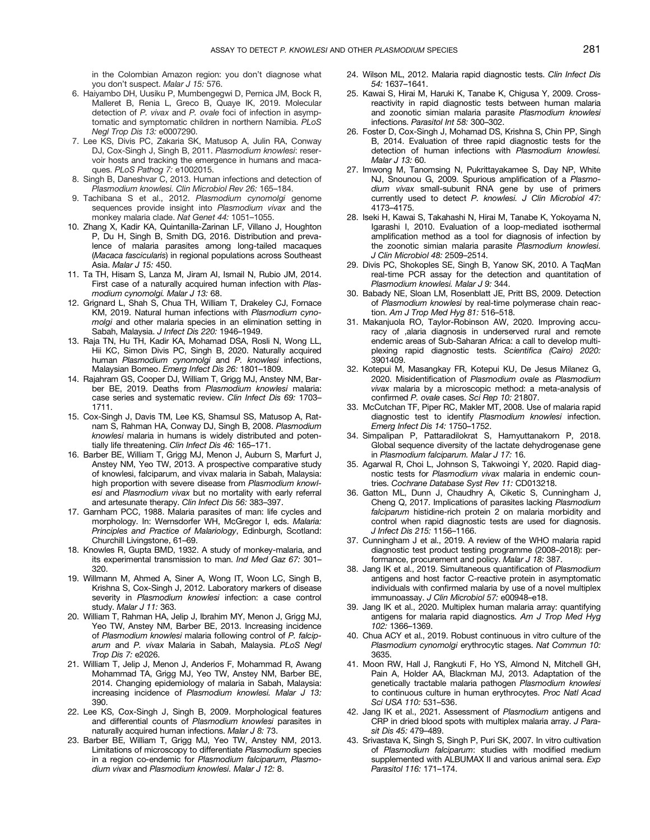in the Colombian Amazon region: you don't diagnose what you don't suspect. Malar J 15: 576.

- <span id="page-6-0"></span>6. Haiyambo DH, Uusiku P, Mumbengegwi D, Pernica JM, Bock R, Malleret B, Renia L, Greco B, Quaye IK, 2019. Molecular detection of P. vivax and P. ovale foci of infection in asymptomatic and symptomatic children in northern Namibia. PLoS Negl Trop Dis 13: e0007290.
- 7. Lee KS, Divis PC, Zakaria SK, Matusop A, Julin RA, Conway DJ, Cox-Singh J, Singh B, 2011. Plasmodium knowlesi: reservoir hosts and tracking the emergence in humans and macaques. PLoS Pathog 7: e1002015.
- 8. Singh B, Daneshvar C, 2013. Human infections and detection of Plasmodium knowlesi. Clin Microbiol Rev 26: 165–184.
- 9. Tachibana S et al., 2012. Plasmodium cynomolgi genome sequences provide insight into Plasmodium vivax and the monkey malaria clade. Nat Genet 44: 1051–1055.
- 10. Zhang X, Kadir KA, Quintanilla-Zarinan LF, Villano J, Houghton P, Du H, Singh B, Smith DG, 2016. Distribution and prevalence of malaria parasites among long-tailed macaques (Macaca fascicularis) in regional populations across Southeast Asia. Malar J 15: 450.
- 11. Ta TH, Hisam S, Lanza M, Jiram AI, Ismail N, Rubio JM, 2014. First case of a naturally acquired human infection with Plasmodium cynomolgi. Malar J 13: 68.
- 12. Grignard L, Shah S, Chua TH, William T, Drakeley CJ, Fornace KM, 2019. Natural human infections with Plasmodium cynomolgi and other malaria species in an elimination setting in Sabah, Malaysia. J Infect Dis 220: 1946–1949.
- 13. Raja TN, Hu TH, Kadir KA, Mohamad DSA, Rosli N, Wong LL, Hii KC, Simon Divis PC, Singh B, 2020. Naturally acquired human Plasmodium cynomolgi and P. knowlesi infections, Malaysian Borneo. Emerg Infect Dis 26: 1801–1809.
- 14. Rajahram GS, Cooper DJ, William T, Grigg MJ, Anstey NM, Barber BE, 2019. Deaths from Plasmodium knowlesi malaria: case series and systematic review. Clin Infect Dis 69: 1703– 1711.
- 15. Cox-Singh J, Davis TM, Lee KS, Shamsul SS, Matusop A, Ratnam S, Rahman HA, Conway DJ, Singh B, 2008. Plasmodium knowlesi malaria in humans is widely distributed and potentially life threatening. Clin Infect Dis 46: 165–171.
- 16. Barber BE, William T, Grigg MJ, Menon J, Auburn S, Marfurt J, Anstey NM, Yeo TW, 2013. A prospective comparative study of knowlesi, falciparum, and vivax malaria in Sabah, Malaysia: high proportion with severe disease from Plasmodium knowlesi and Plasmodium vivax but no mortality with early referral and artesunate therapy. Clin Infect Dis 56: 383–397.
- 17. Garnham PCC, 1988. Malaria parasites of man: life cycles and morphology. In: Wernsdorfer WH, McGregor I, eds. Malaria: Principles and Practice of Malariology, Edinburgh, Scotland: Churchill Livingstone, 61–69.
- 18. Knowles R, Gupta BMD, 1932. A study of monkey-malaria, and its experimental transmission to man. Ind Med Gaz 67: 301– 320.
- 19. Willmann M, Ahmed A, Siner A, Wong IT, Woon LC, Singh B, Krishna S, Cox-Singh J, 2012. Laboratory markers of disease severity in Plasmodium knowlesi infection: a case control study. Malar J 11: 363.
- 20. William T, Rahman HA, Jelip J, Ibrahim MY, Menon J, Grigg MJ, Yeo TW, Anstey NM, Barber BE, 2013. Increasing incidence of Plasmodium knowlesi malaria following control of P. falciparum and P. vivax Malaria in Sabah, Malaysia. PLoS Negl Trop Dis 7: e2026.
- 21. William T, Jelip J, Menon J, Anderios F, Mohammad R, Awang Mohammad TA, Grigg MJ, Yeo TW, Anstey NM, Barber BE, 2014. Changing epidemiology of malaria in Sabah, Malaysia: increasing incidence of Plasmodium knowlesi. Malar J 13: 390.
- 22. Lee KS, Cox-Singh J, Singh B, 2009. Morphological features and differential counts of Plasmodium knowlesi parasites in naturally acquired human infections. Malar J 8: 73.
- 23. Barber BE, William T, Grigg MJ, Yeo TW, Anstey NM, 2013. Limitations of microscopy to differentiate Plasmodium species in a region co-endemic for Plasmodium falciparum, Plasmodium vivax and Plasmodium knowlesi. Malar J 12: 8.
- 24. Wilson ML, 2012. Malaria rapid diagnostic tests. Clin Infect Dis 54: 1637–1641.
- 25. Kawai S, Hirai M, Haruki K, Tanabe K, Chigusa Y, 2009. Crossreactivity in rapid diagnostic tests between human malaria and zoonotic simian malaria parasite Plasmodium knowlesi infections. Parasitol Int 58: 300–302.
- 26. Foster D, Cox-Singh J, Mohamad DS, Krishna S, Chin PP, Singh B, 2014. Evaluation of three rapid diagnostic tests for the detection of human infections with Plasmodium knowlesi. Malar J 13: 60.
- 27. Imwong M, Tanomsing N, Pukrittayakamee S, Day NP, White NJ, Snounou G, 2009. Spurious amplification of a Plasmodium vivax small-subunit RNA gene by use of primers currently used to detect P. knowlesi. J Clin Microbiol 47: 4173–4175.
- 28. Iseki H, Kawai S, Takahashi N, Hirai M, Tanabe K, Yokoyama N, Igarashi I, 2010. Evaluation of a loop-mediated isothermal amplification method as a tool for diagnosis of infection by the zoonotic simian malaria parasite Plasmodium knowlesi. J Clin Microbiol 48: 2509–2514.
- 29. Divis PC, Shokoples SE, Singh B, Yanow SK, 2010. A TaqMan real-time PCR assay for the detection and quantitation of Plasmodium knowlesi. Malar J 9: 344.
- 30. Babady NE, Sloan LM, Rosenblatt JE, Pritt BS, 2009. Detection of Plasmodium knowlesi by real-time polymerase chain reaction. Am J Trop Med Hyg 81: 516–518.
- 31. Makanjuola RO, Taylor-Robinson AW, 2020. Improving accuracy of ,alaria diagnosis in underserved rural and remote endemic areas of Sub-Saharan Africa: a call to develop multiplexing rapid diagnostic tests. Scientifica (Cairo) 2020: 3901409.
- 32. Kotepui M, Masangkay FR, Kotepui KU, De Jesus Milanez G, 2020. Misidentification of Plasmodium ovale as Plasmodium vivax malaria by a microscopic method: a meta-analysis of confirmed P. ovale cases. Sci Rep 10: 21807.
- 33. McCutchan TF, Piper RC, Makler MT, 2008. Use of malaria rapid diagnostic test to identify Plasmodium knowlesi infection. Emerg Infect Dis 14: 1750–1752.
- 34. Simpalipan P, Pattaradilokrat S, Harnyuttanakorn P, 2018. Global sequence diversity of the lactate dehydrogenase gene in Plasmodium falciparum. Malar J 17: 16.
- 35. Agarwal R, Choi L, Johnson S, Takwoingi Y, 2020. Rapid diagnostic tests for Plasmodium vivax malaria in endemic countries. Cochrane Database Syst Rev 11: CD013218.
- 36. Gatton ML, Dunn J, Chaudhry A, Ciketic S, Cunningham J, Cheng Q, 2017. Implications of parasites lacking Plasmodium falciparum histidine-rich protein 2 on malaria morbidity and control when rapid diagnostic tests are used for diagnosis. J Infect Dis 215: 1156–1166.
- 37. Cunningham J et al., 2019. A review of the WHO malaria rapid diagnostic test product testing programme (2008–2018): performance, procurement and policy. Malar J 18: 387.
- 38. Jang IK et al., 2019. Simultaneous quantification of Plasmodium antigens and host factor C-reactive protein in asymptomatic individuals with confirmed malaria by use of a novel multiplex immunoassay. J Clin Microbiol 57: e00948–e18.
- 39. Jang IK et al., 2020. Multiplex human malaria array: quantifying antigens for malaria rapid diagnostics. Am J Trop Med Hyg 102: 1366–1369.
- 40. Chua ACY et al., 2019. Robust continuous in vitro culture of the Plasmodium cynomolgi erythrocytic stages. Nat Commun 10: 3635.
- 41. Moon RW, Hall J, Rangkuti F, Ho YS, Almond N, Mitchell GH, Pain A, Holder AA, Blackman MJ, 2013. Adaptation of the genetically tractable malaria pathogen Plasmodium knowlesi to continuous culture in human erythrocytes. Proc Natl Acad Sci USA 110: 531–536.
- 42. Jang IK et al., 2021. Assessment of Plasmodium antigens and CRP in dried blood spots with multiplex malaria array. J Parasit Dis 45: 479–489.
- 43. Srivastava K, Singh S, Singh P, Puri SK, 2007. In vitro cultivation of Plasmodium falciparum: studies with modified medium supplemented with ALBUMAX II and various animal sera. Exp Parasitol 116: 171–174.